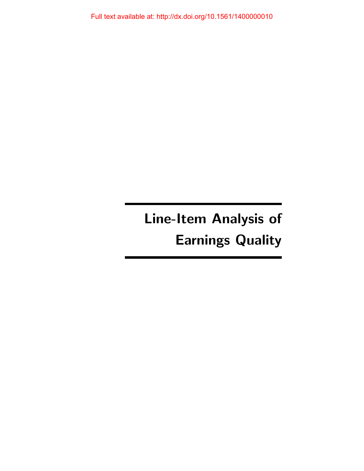Full text available at: http://dx.doi.org/10.1561/1400000010

# Line-Item Analysis of Earnings Quality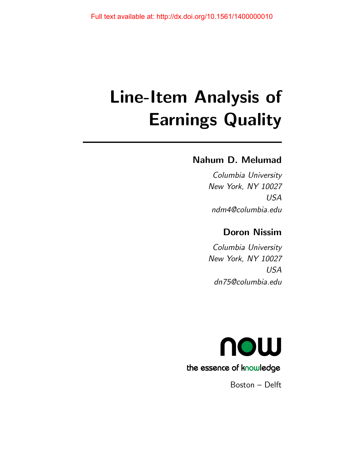# Line-Item Analysis of Earnings Quality

# Nahum D. Melumad

Columbia University New York, NY 10027 USA ndm4@columbia.edu

## Doron Nissim

Columbia University New York, NY 10027 USA dn75@columbia.edu



Boston – Delft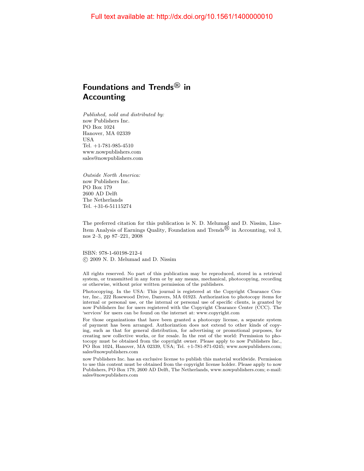## Foundations and Trends $^{\circledR}$  in Accounting

Published, sold and distributed by: now Publishers Inc. PO Box 1024 Hanover, MA 02339 USA Tel. +1-781-985-4510 www.nowpublishers.com sales@nowpublishers.com

Outside North America: now Publishers Inc. PO Box 179 2600 AD Delft The Netherlands Tel. +31-6-51115274

The preferred citation for this publication is N. D. Melumad and D. Nissim, Line-Item Analysis of Earnings Quality, Foundation and Trends<sup> $\mathbb B$ </sup> in Accounting, vol 3, nos 2–3, pp 87–221, 2008

ISBN: 978-1-60198-212-4 c 2009 N. D. Melumad and D. Nissim

All rights reserved. No part of this publication may be reproduced, stored in a retrieval system, or transmitted in any form or by any means, mechanical, photocopying, recording or otherwise, without prior written permission of the publishers.

Photocopying. In the USA: This journal is registered at the Copyright Clearance Center, Inc., 222 Rosewood Drive, Danvers, MA 01923. Authorization to photocopy items for internal or personal use, or the internal or personal use of specific clients, is granted by now Publishers Inc for users registered with the Copyright Clearance Center (CCC). The 'services' for users can be found on the internet at: www.copyright.com

For those organizations that have been granted a photocopy license, a separate system of payment has been arranged. Authorization does not extend to other kinds of copying, such as that for general distribution, for advertising or promotional purposes, for creating new collective works, or for resale. In the rest of the world: Permission to photocopy must be obtained from the copyright owner. Please apply to now Publishers Inc., PO Box 1024, Hanover, MA 02339, USA; Tel. +1-781-871-0245; www.nowpublishers.com; sales@nowpublishers.com

now Publishers Inc. has an exclusive license to publish this material worldwide. Permission to use this content must be obtained from the copyright license holder. Please apply to now Publishers, PO Box 179, 2600 AD Delft, The Netherlands, www.nowpublishers.com; e-mail: sales@nowpublishers.com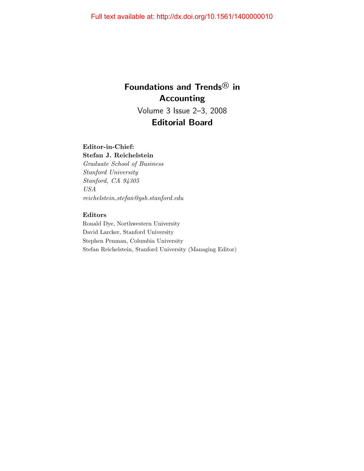# Foundations and Trends<sup>®</sup> in Accounting Volume 3 Issue 2–3, 2008 Editorial Board

## Editor-in-Chief:

Stefan J. Reichelstein Graduate School of Business Stanford University Stanford, CA 94305 USA  $reichelstein\_stefan@gsb.stanford.edu$ 

## Editors

Ronald Dye, Northwestern University David Larcker, Stanford University Stephen Penman, Columbia University Stefan Reichelstein, Stanford University (Managing Editor)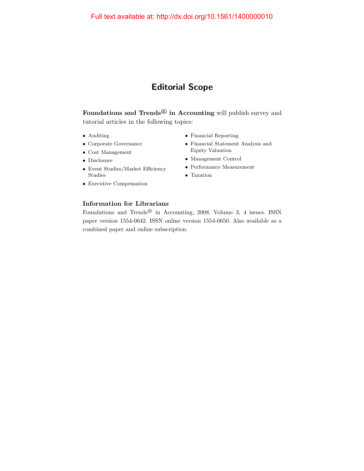# Editorial Scope

Foundations and Trends $^{\textcircled{\textrm{B}}}$  in Accounting will publish survey and tutorial articles in the following topics:

- Auditing
- Corporate Governance
- Cost Management
- Disclosure
- Event Studies/Market Efficiency Studies
- Executive Compensation
- Financial Reporting
- Financial Statement Analysis and Equity Valuation
- Management Control
- Performance Measurement
- Taxation

## Information for Librarians

Foundations and Trends<sup>®</sup> in Accounting, 2008, Volume 3, 4 issues. ISSN paper version 1554-0642. ISSN online version 1554-0650. Also available as a combined paper and online subscription.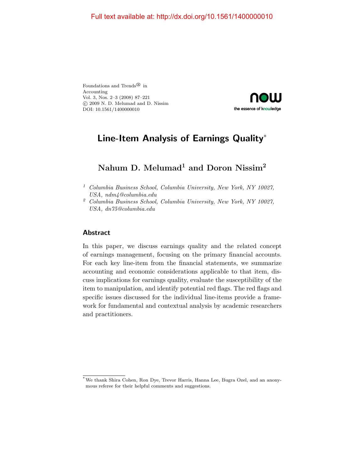Foundations and Trends<sup>®</sup> in Accounting Vol. 3, Nos. 2–3 (2008) 87–221 c 2009 N. D. Melumad and D. Nissim DOI: 10.1561/1400000010



# Line-Item Analysis of Earnings Quality<sup>∗</sup>

# Nahum D. Melumad<sup>1</sup> and Doron Nissim<sup>2</sup>

<sup>1</sup> Columbia Business School, Columbia University, New York, NY 10027, USA, ndm4@columbia.edu

## Abstract

In this paper, we discuss earnings quality and the related concept of earnings management, focusing on the primary financial accounts. For each key line-item from the financial statements, we summarize accounting and economic considerations applicable to that item, discuss implications for earnings quality, evaluate the susceptibility of the item to manipulation, and identify potential red flags. The red flags and specific issues discussed for the individual line-items provide a framework for fundamental and contextual analysis by academic researchers and practitioners.

<sup>2</sup> Columbia Business School, Columbia University, New York, NY 10027, USA, dn75@columbia.edu

<sup>\*</sup>We thank Shira Cohen, Ron Dye, Trevor Harris, Hanna Lee, Bugra Ozel, and an anonymous referee for their helpful comments and suggestions.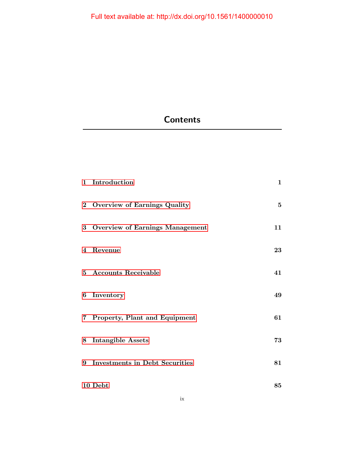# **Contents**

| 1 Introduction                    | $\mathbf{1}$ |
|-----------------------------------|--------------|
| 2 Overview of Earnings Quality    | $\mathbf{5}$ |
| 3 Overview of Earnings Management | 11           |
| 4 Revenue                         | 23           |
| 5 Accounts Receivable             | 41           |
| 6 Inventory                       | 49           |
| 7 Property, Plant and Equipment   | 61           |
| 8 Intangible Assets               | 73           |
| 9 Investments in Debt Securities  | 81           |
| 10 Debt                           | 85           |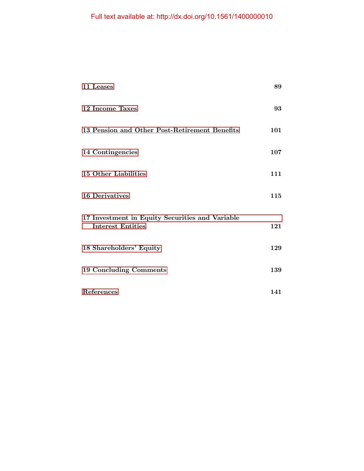| 11 Leases                                                                   | 89  |
|-----------------------------------------------------------------------------|-----|
| 12 Income Taxes                                                             | 93  |
| 13 Pension and Other Post-Retirement Benefits                               | 101 |
| 14 Contingencies                                                            | 107 |
| 15 Other Liabilities                                                        | 111 |
| <b>16 Derivatives</b>                                                       | 115 |
| 17 Investment in Equity Securities and Variable<br><b>Interest Entities</b> | 121 |
| 18 Shareholders' Equity                                                     | 129 |
| <b>19 Concluding Comments</b>                                               | 139 |
| References                                                                  | 141 |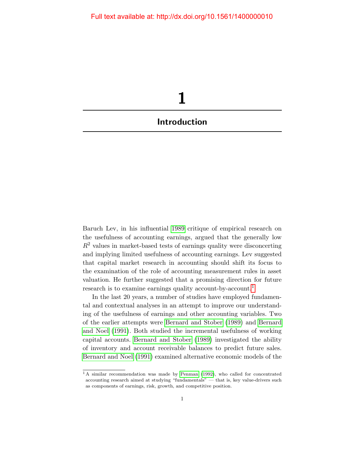<span id="page-8-0"></span>

Baruch Lev, in his influential [1989](#page-15-0) critique of empirical research on the usefulness of accounting earnings, argued that the generally low  $R<sup>2</sup>$  values in market-based tests of earnings quality were disconcerting and implying limited usefulness of accounting earnings. Lev suggested that capital market research in accounting should shift its focus to the examination of the role of accounting measurement rules in asset valuation. He further suggested that a promising direction for future research is to examine earnings quality account-by-account.<sup>[1](#page-8-1)</sup>

In the last 20 years, a number of studies have employed fundamental and contextual analyses in an attempt to improve our understanding of the usefulness of earnings and other accounting variables. Two of the earlier attempts were [Bernard and Stober](#page-12-0) [\(1989\)](#page-12-0) and [Bernard](#page-12-1) [and Noel](#page-12-1) [\(1991\)](#page-12-1). Both studied the incremental usefulness of working capital accounts. [Bernard and Stober](#page-12-0) [\(1989\)](#page-12-0) investigated the ability of inventory and account receivable balances to predict future sales. [Bernard and Noel](#page-12-1) [\(1991\)](#page-12-1) examined alternative economic models of the

<span id="page-8-1"></span> $1 A$  similar recommendation was made by [Penman](#page-16-0) [\(1992\)](#page-16-0), who called for concentrated accounting research aimed at studying "fundamentals" — that is, key value-drivers such as components of earnings, risk, growth, and competitive position.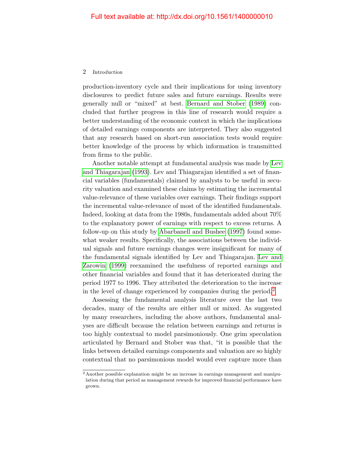#### 2 Introduction

production-inventory cycle and their implications for using inventory disclosures to predict future sales and future earnings. Results were generally null or "mixed" at best. [Bernard and Stober](#page-12-0) [\(1989\)](#page-12-0) concluded that further progress in this line of research would require a better understanding of the economic context in which the implications of detailed earnings components are interpreted. They also suggested that any research based on short-run association tests would require better knowledge of the process by which information is transmitted from firms to the public.

Another notable attempt at fundamental analysis was made by [Lev](#page-15-1) [and Thiagarajan](#page-15-1) [\(1993\)](#page-15-1). Lev and Thiagarajan identified a set of financial variables (fundamentals) claimed by analysts to be useful in security valuation and examined these claims by estimating the incremental value-relevance of these variables over earnings. Their findings support the incremental value-relevance of most of the identified fundamentals. Indeed, looking at data from the 1980s, fundamentals added about 70% to the explanatory power of earnings with respect to excess returns. A follow-up on this study by [Abarbanell and Bushee](#page-11-1) [\(1997\)](#page-11-1) found somewhat weaker results. Specifically, the associations between the individual signals and future earnings changes were insignificant for many of the fundamental signals identified by Lev and Thiagarajan. [Lev and](#page-15-2) [Zarowin](#page-15-2) [\(1999\)](#page-15-2) reexamined the usefulness of reported earnings and other financial variables and found that it has deteriorated during the period 1977 to 1996. They attributed the deterioration to the increase in the level of change experienced by companies during the period.[2](#page-9-0)

Assessing the fundamental analysis literature over the last two decades, many of the results are either null or mixed. As suggested by many researchers, including the above authors, fundamental analyses are difficult because the relation between earnings and returns is too highly contextual to model parsimoniously. One grim speculation articulated by Bernard and Stober was that, "it is possible that the links between detailed earnings components and valuation are so highly contextual that no parsimonious model would ever capture more than

<span id="page-9-0"></span><sup>2</sup> Another possible explanation might be an increase in earnings management and manipulation during that period as management rewards for improved financial performance have grown.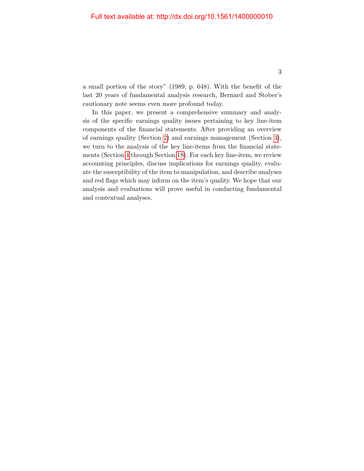a small portion of the story" (1989, p. 648). With the benefit of the last 20 years of fundamental analysis research, Bernard and Stober's cautionary note seems even more profound today.

In this paper, we present a comprehensive summary and analysis of the specific earnings quality issues pertaining to key line-item components of the financial statements. After providing an overview of earnings quality (Section [2\)](#page--1-0) and earnings management (Section [3\)](#page--1-0), we turn to the analysis of the key line-items from the financial statements (Section [4](#page--1-0) through Section [18\)](#page--1-0). For each key line-item, we review accounting principles, discuss implications for earnings quality, evaluate the susceptibility of the item to manipulation, and describe analyses and red flags which may inform on the item's quality. We hope that our analysis and evaluations will prove useful in conducting fundamental and contextual analyses.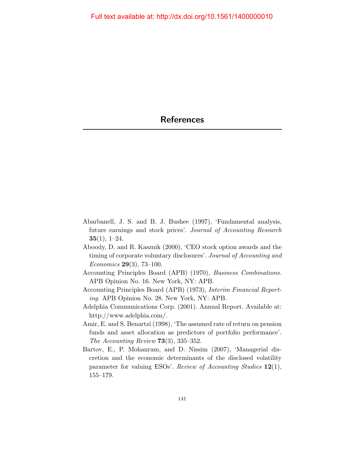- <span id="page-11-1"></span><span id="page-11-0"></span>Abarbanell, J. S. and B. J. Bushee (1997), 'Fundamental analysis, future earnings and stock prices'. Journal of Accounting Research  $35(1), 1-24.$
- Aboody, D. and R. Kasznik (2000), 'CEO stock option awards and the timing of corporate voluntary disclosures'. Journal of Accounting and Economics 29(3), 73–100.
- Accounting Principles Board (APB) (1970), Business Combinations. APB Opinion No. 16. New York, NY: APB.
- Accounting Principles Board (APB) (1973), Interim Financial Reporting. APB Opinion No. 28. New York, NY: APB.
- Adelphia Communications Corp. (2001). Annual Report. Available at: http://www.adelphia.com/.
- Amir, E. and S. Benartzi (1998), 'The assumed rate of return on pension funds and asset allocation as predictors of portfolio performance'. The Accounting Review 73(3), 335–352.
- Bartov, E., P. Mohanram, and D. Nissim (2007), 'Managerial discretion and the economic determinants of the disclosed volatility parameter for valuing ESOs'. Review of Accounting Studies 12(1), 155–179.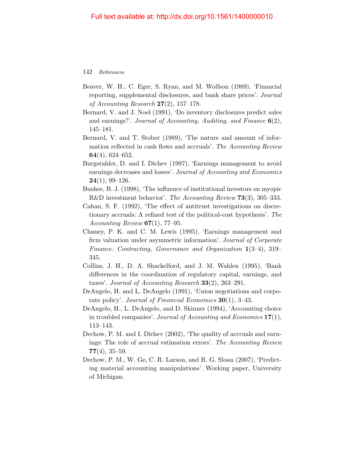- Beaver, W. H., C. Eger, S. Ryan, and M. Wolfson (1989), 'Financial reporting, supplemental disclosures, and bank share prices'. Journal of Accounting Research  $27(2)$ , 157–178.
- <span id="page-12-1"></span>Bernard, V. and J. Noel (1991), 'Do inventory disclosures predict sales and earnings?'. Journal of Accounting, Auditing, and Finance  $6(2)$ , 145–181.
- <span id="page-12-0"></span>Bernard, V. and T. Stober (1989), 'The nature and amount of information reflected in cash flows and accruals'. The Accounting Review 64(4), 624–652.
- Burgstahler, D. and I. Dichev (1997), 'Earnings management to avoid earnings decreases and losses'. Journal of Accounting and Economics  $24(1), 99-126.$
- Bushee, B. J. (1998), 'The influence of institutional investors on myopic R&D investment behavior'. The Accounting Review 73(3), 305–333.
- Cahan, S. F. (1992), 'The effect of antitrust investigations on discretionary accruals: A refined test of the political-cost hypothesis'. The Accounting Review  $67(1)$ , 77-95.
- Chaney, P. K. and C. M. Lewis (1995), 'Earnings management and firm valuation under asymmetric information'. Journal of Corporate Finance: Contracting, Governance and Organization 1(3–4), 319– 345.
- Collins, J. H., D. A. Shackelford, and J. M. Wahlen (1995), 'Bank differences in the coordination of regulatory capital, earnings, and taxes'. Journal of Accounting Research 33(2), 263–291.
- DeAngelo, H. and L. DeAngelo (1991), 'Union negotiations and corporate policy'. Journal of Financial Economics 30(1), 3–43.
- DeAngelo, H., L. DeAngelo, and D. Skinner (1994), 'Accounting choice in troubled companies'. Journal of Accounting and Economics 17(1), 113–143.
- Dechow, P. M. and I. Dichev (2002), 'The quality of accruals and earnings: The role of accrual estimation errors'. The Accounting Review  $77(4)$ , 35–59.
- Dechow, P. M., W. Ge, C. R. Larson, and R. G. Sloan (2007), 'Predicting material accounting manipulations'. Working paper, University of Michigan.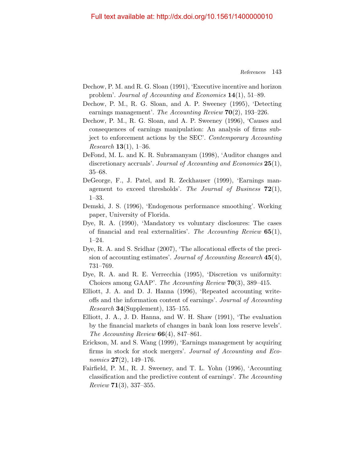### Full text available at: http://dx.doi.org/10.1561/1400000010

- Dechow, P. M. and R. G. Sloan (1991), 'Executive incentive and horizon problem'. Journal of Accounting and Economics 14(1), 51–89.
- Dechow, P. M., R. G. Sloan, and A. P. Sweeney (1995), 'Detecting earnings management'. The Accounting Review  $70(2)$ , 193–226.
- Dechow, P. M., R. G. Sloan, and A. P. Sweeney (1996), 'Causes and consequences of earnings manipulation: An analysis of firms subject to enforcement actions by the SEC'. Contemporary Accounting *Research* **13**(1), 1-36.
- DeFond, M. L. and K. R. Subramanyam (1998), 'Auditor changes and discretionary accruals'. Journal of Accounting and Economics 25(1), 35–68.
- DeGeorge, F., J. Patel, and R. Zeckhauser (1999), 'Earnings management to exceed thresholds'. The Journal of Business  $72(1)$ , 1–33.
- Demski, J. S. (1996), 'Endogenous performance smoothing'. Working paper, University of Florida.
- Dye, R. A. (1990), 'Mandatory vs voluntary disclosures: The cases of financial and real externalities'. The Accounting Review  $65(1)$ , 1–24.
- Dye, R. A. and S. Sridhar (2007), 'The allocational effects of the precision of accounting estimates'. Journal of Accounting Research 45(4), 731–769.
- Dye, R. A. and R. E. Verrecchia (1995), 'Discretion vs uniformity: Choices among GAAP'. The Accounting Review 70(3), 389–415.
- Elliott, J. A. and D. J. Hanna (1996), 'Repeated accounting writeoffs and the information content of earnings'. Journal of Accounting Research 34(Supplement), 135–155.
- Elliott, J. A., J. D. Hanna, and W. H. Shaw (1991), 'The evaluation by the financial markets of changes in bank loan loss reserve levels'. The Accounting Review  $66(4)$ , 847–861.
- Erickson, M. and S. Wang (1999), 'Earnings management by acquiring firms in stock for stock mergers'. Journal of Accounting and Economics  $27(2)$ , 149-176.
- Fairfield, P. M., R. J. Sweeney, and T. L. Yohn (1996), 'Accounting classification and the predictive content of earnings'. The Accounting  $Review 71(3), 337-355.$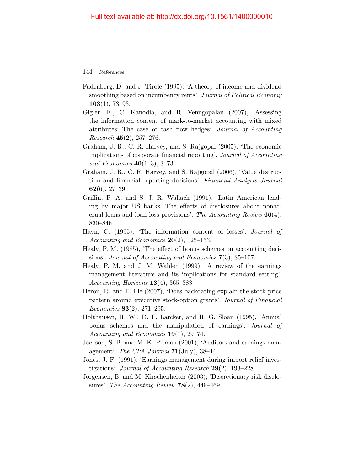- Fudenberg, D. and J. Tirole (1995), 'A theory of income and dividend smoothing based on incumbency rents'. Journal of Political Economy  $103(1), 73-93.$
- Gigler, F., C. Kanodia, and R. Venugopalan (2007), 'Assessing the information content of mark-to-market accounting with mixed attributes: The case of cash flow hedges'. Journal of Accounting *Research* 45 $(2)$ , 257–276.
- Graham, J. R., C. R. Harvey, and S. Rajgopal (2005), 'The economic implications of corporate financial reporting'. Journal of Accounting and Economics  $40(1-3)$ , 3-73.
- Graham, J. R., C. R. Harvey, and S. Rajgopal (2006), 'Value destruction and financial reporting decisions'. Financial Analysts Journal  $62(6), 27-39.$
- Griffin, P. A. and S. J. R. Wallach (1991), 'Latin American lending by major US banks: The effects of disclosures about nonaccrual loans and loan loss provisions'. The Accounting Review  $66(4)$ , 830–846.
- Hayn, C. (1995), 'The information content of losses'. Journal of Accounting and Economics  $20(2)$ , 125–153.
- Healy, P. M. (1985), 'The effect of bonus schemes on accounting decisions'. Journal of Accounting and Economics 7(3), 85–107.
- Healy, P. M. and J. M. Wahlen (1999), 'A review of the earnings management literature and its implications for standard setting'. Accounting Horizons  $13(4)$ , 365–383.
- Heron, R. and E. Lie (2007), 'Does backdating explain the stock price pattern around executive stock-option grants'. Journal of Financial Economics 83(2), 271–295.
- Holthausen, R. W., D. F. Larcker, and R. G. Sloan (1995), 'Annual bonus schemes and the manipulation of earnings'. Journal of Accounting and Economics  $19(1)$ , 29–74.
- Jackson, S. B. and M. K. Pitman (2001), 'Auditors and earnings management'. The CPA Journal  $71$ (July), 38–44.
- Jones, J. F. (1991), 'Earnings management during import relief investigations'. Journal of Accounting Research  $29(2)$ , 193–228.
- Jorgensen, B. and M. Kirschenheiter (2003), 'Discretionary risk disclosures'. The Accounting Review  $78(2)$ , 449-469.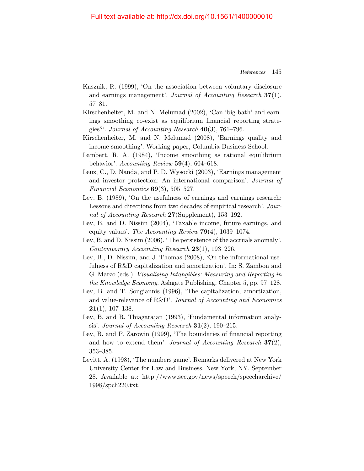### Full text available at: http://dx.doi.org/10.1561/1400000010

- Kasznik, R. (1999), 'On the association between voluntary disclosure and earnings management'. Journal of Accounting Research 37(1), 57–81.
- Kirschenheiter, M. and N. Melumad (2002), 'Can 'big bath' and earnings smoothing co-exist as equilibrium financial reporting strategies?'. Journal of Accounting Research  $40(3)$ , 761–796.
- Kirschenheiter, M. and N. Melumad (2008), 'Earnings quality and income smoothing'. Working paper, Columbia Business School.
- Lambert, R. A. (1984), 'Income smoothing as rational equilibrium behavior'. Accounting Review  $59(4)$ , 604–618.
- Leuz, C., D. Nanda, and P. D. Wysocki (2003), 'Earnings management and investor protection: An international comparison'. Journal of Financial Economics  $69(3)$ , 505-527.
- <span id="page-15-0"></span>Lev, B. (1989), 'On the usefulness of earnings and earnings research: Lessons and directions from two decades of empirical research'. Journal of Accounting Research 27(Supplement), 153–192.
- Lev, B. and D. Nissim (2004), 'Taxable income, future earnings, and equity values'. The Accounting Review  $79(4)$ , 1039–1074.
- Lev, B. and D. Nissim (2006), 'The persistence of the accruals anomaly'. Contemporary Accounting Research 23(1), 193–226.
- Lev, B., D. Nissim, and J. Thomas (2008), 'On the informational usefulness of R&D capitalization and amortization'. In: S. Zambon and G. Marzo (eds.): Visualising Intangibles: Measuring and Reporting in the Knowledge Economy. Ashgate Publishing, Chapter 5, pp. 97–128.
- Lev, B. and T. Sougiannis (1996), 'The capitalization, amortization, and value-relevance of R&D'. Journal of Accounting and Economics  $21(1)$ , 107-138.
- <span id="page-15-1"></span>Lev, B. and R. Thiagarajan (1993), 'Fundamental information analysis'. Journal of Accounting Research  $31(2)$ , 190-215.
- <span id="page-15-2"></span>Lev, B. and P. Zarowin (1999), 'The boundaries of financial reporting and how to extend them'. Journal of Accounting Research  $37(2)$ , 353–385.
- Levitt, A. (1998), 'The numbers game'. Remarks delivered at New York University Center for Law and Business, New York, NY. September 28. Available at: http://www.sec.gov/news/speech/speecharchive/ 1998/spch220.txt.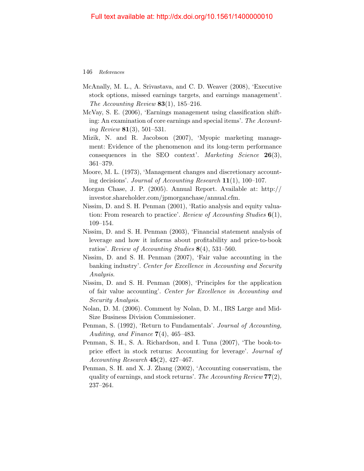- McAnally, M. L., A. Srivastava, and C. D. Weaver (2008), 'Executive stock options, missed earnings targets, and earnings management'. The Accounting Review  $83(1)$ , 185–216.
- McVay, S. E. (2006), 'Earnings management using classification shifting: An examination of core earnings and special items'. The Accounting Review **81**(3), 501–531.
- Mizik, N. and R. Jacobson (2007), 'Myopic marketing management: Evidence of the phenomenon and its long-term performance consequences in the SEO context'. Marketing Science 26(3), 361–379.
- Moore, M. L. (1973), 'Management changes and discretionary accounting decisions'. Journal of Accounting Research 11(1), 100–107.
- Morgan Chase, J. P. (2005). Annual Report. Available at: http:// investor.shareholder.com/jpmorganchase/annual.cfm.
- Nissim, D. and S. H. Penman (2001), 'Ratio analysis and equity valuation: From research to practice'. Review of Accounting Studies  $6(1)$ , 109–154.
- Nissim, D. and S. H. Penman (2003), 'Financial statement analysis of leverage and how it informs about profitability and price-to-book ratios'. Review of Accounting Studies 8(4), 531–560.
- Nissim, D. and S. H. Penman (2007), 'Fair value accounting in the banking industry'. Center for Excellence in Accounting and Security Analysis.
- Nissim, D. and S. H. Penman (2008), 'Principles for the application of fair value accounting'. Center for Excellence in Accounting and Security Analysis.
- Nolan, D. M. (2006). Comment by Nolan, D. M., IRS Large and Mid-Size Business Division Commissioner.
- <span id="page-16-0"></span>Penman, S. (1992), 'Return to Fundamentals'. Journal of Accounting, Auditing, and Finance  $7(4)$ , 465–483.
- Penman, S. H., S. A. Richardson, and I. Tuna (2007), 'The book-toprice effect in stock returns: Accounting for leverage'. Journal of Accounting Research  $45(2)$ ,  $427-467$ .
- Penman, S. H. and X. J. Zhang (2002), 'Accounting conservatism, the quality of earnings, and stock returns'. The Accounting Review  $77(2)$ , 237–264.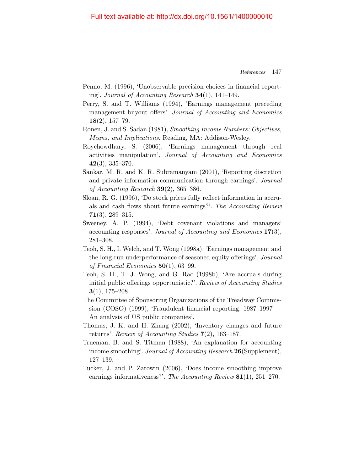- Penno, M. (1996), 'Unobservable precision choices in financial reporting'. Journal of Accounting Research 34(1), 141–149.
- Perry, S. and T. Williams (1994), 'Earnings management preceding management buyout offers'. Journal of Accounting and Economics  $18(2), 157-79.$
- Ronen, J. and S. Sadan (1981), Smoothing Income Numbers: Objectives, Means, and Implications. Reading, MA: Addison-Wesley.
- Roychowdhury, S. (2006), 'Earnings management through real activities manipulation'. Journal of Accounting and Economics 42(3), 335–370.
- Sankar, M. R. and K. R. Subramanyam (2001), 'Reporting discretion and private information communication through earnings'. Journal of Accounting Research  $39(2)$ , 365–386.
- Sloan, R. G. (1996), 'Do stock prices fully reflect information in accruals and cash flows about future earnings?'. The Accounting Review  $71(3)$ , 289-315.
- Sweeney, A. P. (1994), 'Debt covenant violations and managers' accounting responses'. Journal of Accounting and Economics 17(3), 281–308.
- Teoh, S. H., I. Welch, and T. Wong (1998a), 'Earnings management and the long-run underperformance of seasoned equity offerings'. Journal of Financial Economics  $50(1)$ , 63-99.
- Teoh, S. H., T. J. Wong, and G. Rao (1998b), 'Are accruals during initial public offerings opportunistic?'. Review of Accounting Studies  $3(1), 175-208.$
- The Committee of Sponsoring Organizations of the Treadway Commission (COSO) (1999), 'Fraudulent financial reporting: 1987–1997 — An analysis of US public companies'.
- Thomas, J. K. and H. Zhang (2002), 'Inventory changes and future returns'. Review of Accounting Studies 7(2), 163–187.
- Trueman, B. and S. Titman (1988), 'An explanation for accounting income smoothing'. Journal of Accounting Research 26(Supplement), 127–139.
- Tucker, J. and P. Zarowin (2006), 'Does income smoothing improve earnings informativeness?'. The Accounting Review 81(1), 251–270.